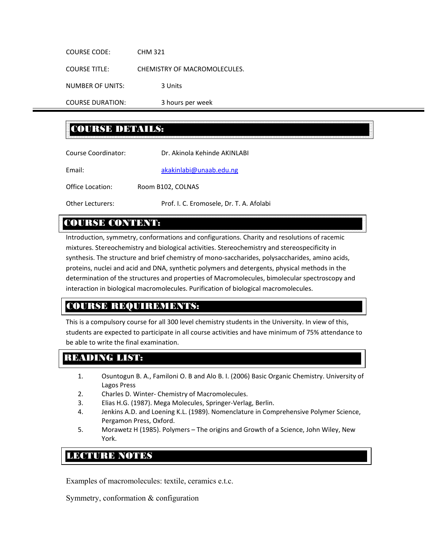COURSE CODE: CHM 321 COURSE TITLE: CHEMISTRY OF MACROMOLECULES. NUMBER OF UNITS: 3 Units COURSE DURATION: 3 hours per week

# COURSE DETAILS:

| Course Coordinator:     | Dr. Akinola Kehinde AKINLABI             |  |
|-------------------------|------------------------------------------|--|
| Email:                  | akakinlabi@unaab.edu.ng                  |  |
| Office Location:        | Room B102, COLNAS                        |  |
| <b>Other Lecturers:</b> | Prof. I. C. Eromosele, Dr. T. A. Afolabi |  |

## COURSE CONTENT:

Introduction, symmetry, conformations and configurations. Charity and resolutions of racemic mixtures. Stereochemistry and biological activities. Stereochemistry and stereospecificity in synthesis. The structure and brief chemistry of mono‐saccharides, polysaccharides, amino acids, proteins, nuclei and acid and DNA, synthetic polymers and detergents, physical methods in the determination of the structures and properties of Macromolecules, bimolecular spectroscopy and interaction in biological macromolecules. Purification of biological macromolecules.

# COURSE REQUIREMENTS:

This is a compulsory course for all 300 level chemistry students in the University. In view of this, students are expected to participate in all course activities and have minimum of 75% attendance to be able to write the final examination.

# READING LIST:

- 1. Osuntogun B. A., Familoni O. B and Alo B. I. (2006) Basic Organic Chemistry. University of Lagos Press
- 2. Charles D. Winter‐ Chemistry of Macromolecules.
- 3. Elias H.G. (1987). Mega Molecules, Springer‐Verlag, Berlin.
- 4. Jenkins A.D. and Loening K.L. (1989). Nomenclature in Comprehensive Polymer Science, Pergamon Press, Oxford.
- 5. Morawetz H (1985). Polymers The origins and Growth of a Science, John Wiley, New York.

# LEXURE NOTES

Examples of macromolecules: textile, ceramics e.t.c.

Symmetry, conformation & configuration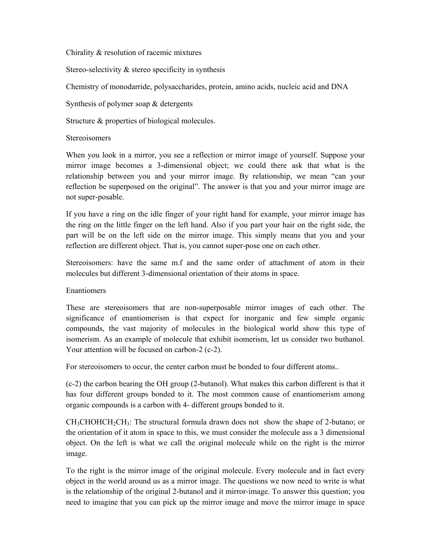Chirality & resolution of racemic mixtures

Stereo-selectivity & stereo specificity in synthesis

Chemistry of monodarride, polysaccharides, protein, amino acids, nucleic acid and DNA

Synthesis of polymer soap & detergents

Structure & properties of biological molecules.

#### **Stereoisomers**

When you look in a mirror, you see a reflection or mirror image of yourself. Suppose your mirror image becomes a 3-dimensional object; we could there ask that what is the relationship between you and your mirror image. By relationship, we mean "can your reflection be superposed on the original". The answer is that you and your mirror image are not super-posable.

If you have a ring on the idle finger of your right hand for example, your mirror image has the ring on the little finger on the left hand. Also if you part your hair on the right side, the part will be on the left side on the mirror image. This simply means that you and your reflection are different object. That is, you cannot super-pose one on each other.

Stereoisomers: have the same m.f and the same order of attachment of atom in their molecules but different 3-dimensional orientation of their atoms in space.

#### Enantiomers

These are stereoisomers that are non-superposable mirror images of each other. The significance of enantiomerism is that expect for inorganic and few simple organic compounds, the vast majority of molecules in the biological world show this type of isomerism. As an example of molecule that exhibit isomerism, let us consider two buthanol. Your attention will be focused on carbon-2 (c-2).

For stereoisomers to occur, the center carbon must be bonded to four different atoms..

(c-2) the carbon bearing the OH group (2-butanol). What makes this carbon different is that it has four different groups bonded to it. The most common cause of enantiomerism among organic compounds is a carbon with 4- different groups bonded to it.

 $CH<sub>3</sub>CHOHCH<sub>2</sub>CH<sub>3</sub>$ : The structural formula drawn does not show the shape of 2-butano; or the orientation of it atom in space to this, we must consider the molecule ass a 3 dimensional object. On the left is what we call the original molecule while on the right is the mirror image.

To the right is the mirror image of the original molecule. Every molecule and in fact every object in the world around us as a mirror image. The questions we now need to write is what is the relationship of the original 2-butanol and it mirror-image. To answer this question; you need to imagine that you can pick up the mirror image and move the mirror image in space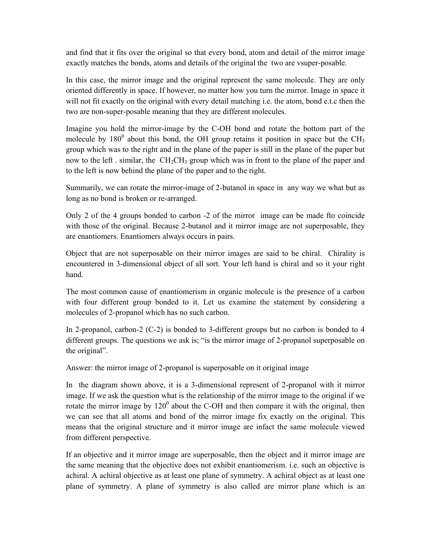and find that it fits over the original so that every bond, atom and detail of the mirror image exactly matches the bonds, atoms and details of the original the two are vsuper-posable.

In this case, the mirror image and the original represent the same molecule. They are only oriented differently in space. If however, no matter how you turn the mirror. Image in space it will not fit exactly on the original with every detail matching i.e. the atom, bond e.t.c then the two are non-super-posable meaning that they are different molecules.

Imagine you hold the mirror-image by the C-OH bond and rotate the bottom part of the molecule by  $180^0$  about this bond, the OH group retains it position in space but the CH<sub>3</sub> group which was to the right and in the plane of the paper is still in the plane of the paper but now to the left . similar, the  $CH_2CH_3$  group which was in front to the plane of the paper and to the left is now behind the plane of the paper and to the right.

Summarily, we can rotate the mirror-image of 2-butanol in space in any way we what but as long as no bond is broken or re-arranged.

Only 2 of the 4 groups bonded to carbon -2 of the mirror image can be made fto coincide with those of the original. Because 2-butanol and it mirror image are not superposable, they are enantiomers. Enantiomers always occurs in pairs.

Object that are not superposable on their mirror images are said to be chiral. Chirality is encountered in 3-dimensional object of all sort. Your left hand is chiral and so it your right hand.

The most common cause of enantiomerism in organic molecule is the presence of a carbon with four different group bonded to it. Let us examine the statement by considering a molecules of 2-propanol which has no such carbon.

In 2-propanol, carbon-2 (C-2) is bonded to 3-different groups but no carbon is bonded to 4 different groups. The questions we ask is; "is the mirror image of 2-propanol superposable on the original".

Answer: the mirror image of 2-propanol is superposable on it original image

In the diagram shown above, it is a 3-dimensional represent of 2-propanol with it mirror image. If we ask the question what is the relationship of the mirror image to the original if we rotate the mirror image by  $120^{\circ}$  about the C-OH and then compare it with the original, then we can see that all atoms and bond of the mirror image fix exactly on the original. This means that the original structure and it mirror image are infact the same molecule viewed from different perspective.

If an objective and it mirror image are superposable, then the object and it mirror image are the same meaning that the objective does not exhibit enantiomerism. i.e. such an objective is achiral. A achiral objective as at least one plane of symmetry. A achiral object as at least one plane of symmetry. A plane of symmetry is also called are mirror plane which is an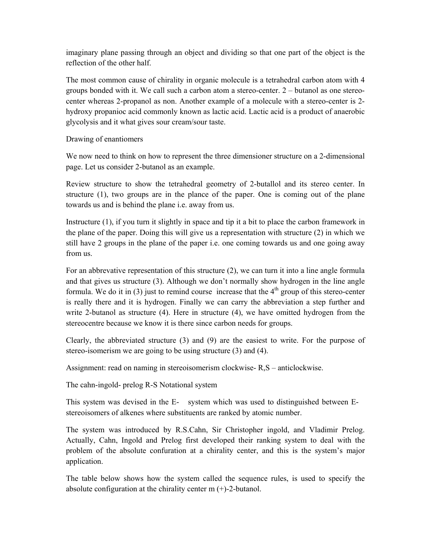imaginary plane passing through an object and dividing so that one part of the object is the reflection of the other half.

The most common cause of chirality in organic molecule is a tetrahedral carbon atom with 4 groups bonded with it. We call such a carbon atom a stereo-center. 2 – butanol as one stereocenter whereas 2-propanol as non. Another example of a molecule with a stereo-center is 2 hydroxy propanioc acid commonly known as lactic acid. Lactic acid is a product of anaerobic glycolysis and it what gives sour cream/sour taste.

Drawing of enantiomers

We now need to think on how to represent the three dimensioner structure on a 2-dimensional page. Let us consider 2-butanol as an example.

Review structure to show the tetrahedral geometry of 2-butallol and its stereo center. In structure (1), two groups are in the plance of the paper. One is coming out of the plane towards us and is behind the plane i.e. away from us.

Instructure (1), if you turn it slightly in space and tip it a bit to place the carbon framework in the plane of the paper. Doing this will give us a representation with structure (2) in which we still have 2 groups in the plane of the paper i.e. one coming towards us and one going away from us.

For an abbrevative representation of this structure (2), we can turn it into a line angle formula and that gives us structure (3). Although we don't normally show hydrogen in the line angle formula. We do it in (3) just to remind course increase that the  $4<sup>th</sup>$  group of this stereo-center is really there and it is hydrogen. Finally we can carry the abbreviation a step further and write 2-butanol as structure (4). Here in structure (4), we have omitted hydrogen from the stereocentre because we know it is there since carbon needs for groups.

Clearly, the abbreviated structure (3) and (9) are the easiest to write. For the purpose of stereo-isomerism we are going to be using structure (3) and (4).

Assignment: read on naming in stereoisomerism clockwise- R,S – anticlockwise.

The cahn-ingold- prelog R-S Notational system

This system was devised in the E- system which was used to distinguished between E stereoisomers of alkenes where substituents are ranked by atomic number.

The system was introduced by R.S.Cahn, Sir Christopher ingold, and Vladimir Prelog. Actually, Cahn, Ingold and Prelog first developed their ranking system to deal with the problem of the absolute confuration at a chirality center, and this is the system's major application.

The table below shows how the system called the sequence rules, is used to specify the absolute configuration at the chirality center m (+)-2-butanol.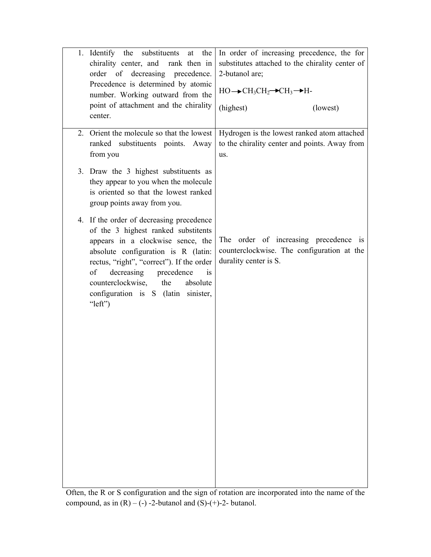| 1. Identify the substituents at the<br>chirality center, and rank then in<br>order of decreasing precedence.<br>Precedence is determined by atomic<br>number. Working outward from the<br>point of attachment and the chirality<br>center.                                                                                                     | In order of increasing precedence, the for<br>substitutes attached to the chirality center of<br>2-butanol are;<br>$HO \rightarrow CH_3CH_2 \rightarrow CH_3 \rightarrow H$<br>(highest)<br>(lowest) |
|------------------------------------------------------------------------------------------------------------------------------------------------------------------------------------------------------------------------------------------------------------------------------------------------------------------------------------------------|------------------------------------------------------------------------------------------------------------------------------------------------------------------------------------------------------|
| 2. Orient the molecule so that the lowest<br>ranked substituents points. Away<br>from you                                                                                                                                                                                                                                                      | Hydrogen is the lowest ranked atom attached<br>to the chirality center and points. Away from<br>us.                                                                                                  |
| 3. Draw the 3 highest substituents as<br>they appear to you when the molecule<br>is oriented so that the lowest ranked<br>group points away from you.                                                                                                                                                                                          |                                                                                                                                                                                                      |
| 4. If the order of decreasing precedence<br>of the 3 highest ranked substitents<br>appears in a clockwise sence, the<br>absolute configuration is R (latin:<br>rectus, "right", "correct"). If the order<br>decreasing<br>precedence<br>of<br>is<br>counterclockwise,<br>the<br>absolute<br>configuration is S (latin sinister,<br>" $left"$ ) | The order of increasing precedence is<br>counterclockwise. The configuration at the<br>durality center is S.                                                                                         |
| $Q_{\text{tan}}$ the $D_{\text{ext}}$ configuration and the sign of restation                                                                                                                                                                                                                                                                  | incorporated into the name of the                                                                                                                                                                    |

Often, the R or S configuration and the sign of rotation are incorporated into the name of the compound, as in  $(R) - (-) -2$ -butanol and  $(S) - (+) -2$ - butanol.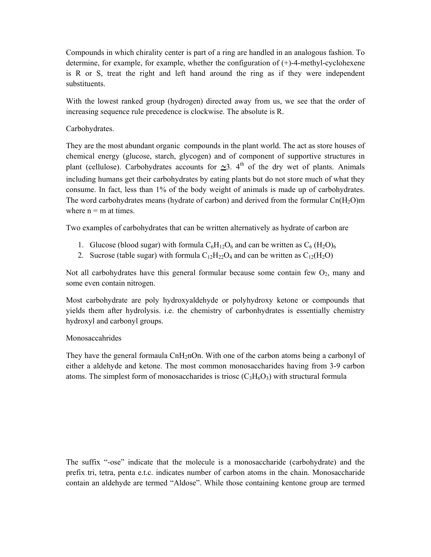Compounds in which chirality center is part of a ring are handled in an analogous fashion. To determine, for example, for example, whether the configuration of (+)-4-methyl-cyclohexene is R or S, treat the right and left hand around the ring as if they were independent substituents.

With the lowest ranked group (hydrogen) directed away from us, we see that the order of increasing sequence rule precedence is clockwise. The absolute is R.

Carbohydrates.

They are the most abundant organic compounds in the plant world. The act as store houses of chemical energy (glucose, starch, glycogen) and of component of supportive structures in plant (cellulose). Carbohydrates accounts for  $\approx 3$ . 4<sup>th</sup> of the dry wet of plants. Animals including humans get their carbohydrates by eating plants but do not store much of what they consume. In fact, less than 1% of the body weight of animals is made up of carbohydrates. The word carbohydrates means (hydrate of carbon) and derived from the formular  $Cn(H_2O)m$ where  $n = m$  at times.

Two examples of carbohydrates that can be written alternatively as hydrate of carbon are

- 1. Glucose (blood sugar) with formula  $C_6H_{12}O_6$  and can be written as  $C_6$  (H<sub>2</sub>O)<sub>6</sub>
- 2. Sucrose (table sugar) with formula  $C_{12}H_{22}O_4$  and can be written as  $C_{12}(H_2O)$

Not all carbohydrates have this general formular because some contain few  $O_2$ , many and some even contain nitrogen.

Most carbohydrate are poly hydroxyaldehyde or polyhydroxy ketone or compounds that yields them after hydrolysis. i.e. the chemistry of carbonhydrates is essentially chemistry hydroxyl and carbonyl groups.

#### Monosaccahrides

They have the general formaula CnH<sub>2</sub>nOn. With one of the carbon atoms being a carbonyl of either a aldehyde and ketone. The most common monosaccharides having from 3-9 carbon atoms. The simplest form of monosaccharides is triosc  $(C_3H_6O_3)$  with structural formula

The suffix "-ose" indicate that the molecule is a monosaccharide (carbohydrate) and the prefix tri, tetra, penta e.t.c. indicates number of carbon atoms in the chain. Monosaccharide contain an aldehyde are termed "Aldose". While those containing kentone group are termed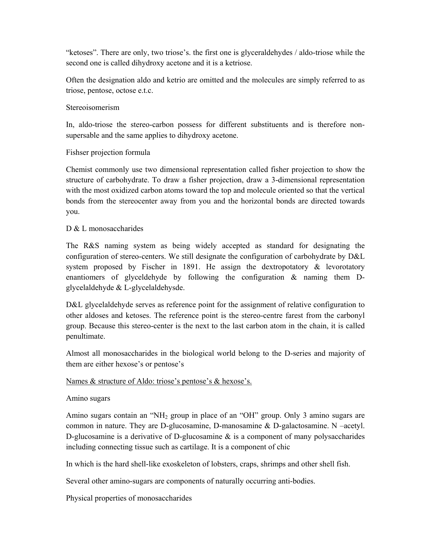"ketoses". There are only, two triose's. the first one is glyceraldehydes / aldo-triose while the second one is called dihydroxy acetone and it is a ketriose.

Often the designation aldo and ketrio are omitted and the molecules are simply referred to as triose, pentose, octose e.t.c.

#### Stereoisomerism

In, aldo-triose the stereo-carbon possess for different substituents and is therefore nonsupersable and the same applies to dihydroxy acetone.

## Fishser projection formula

Chemist commonly use two dimensional representation called fisher projection to show the structure of carbohydrate. To draw a fisher projection, draw a 3-dimensional representation with the most oxidized carbon atoms toward the top and molecule oriented so that the vertical bonds from the stereocenter away from you and the horizontal bonds are directed towards you.

#### D & L monosaccharides

The R&S naming system as being widely accepted as standard for designating the configuration of stereo-centers. We still designate the configuration of carbohydrate by D&L system proposed by Fischer in 1891. He assign the dextropotatory & levorotatory enantiomers of glyceldehyde by following the configuration & naming them Dglycelaldehyde & L-glycelaldehysde.

D&L glycelaldehyde serves as reference point for the assignment of relative configuration to other aldoses and ketoses. The reference point is the stereo-centre farest from the carbonyl group. Because this stereo-center is the next to the last carbon atom in the chain, it is called penultimate.

Almost all monosaccharides in the biological world belong to the D-series and majority of them are either hexose's or pentose's

#### Names & structure of Aldo: triose's pentose's & hexose's.

#### Amino sugars

Amino sugars contain an "NH<sub>2</sub> group in place of an "OH" group. Only 3 amino sugars are common in nature. They are D-glucosamine, D-manosamine & D-galactosamine. N –acetyl. D-glucosamine is a derivative of D-glucosamine  $\&$  is a component of many polysaccharides including connecting tissue such as cartilage. It is a component of chic

In which is the hard shell-like exoskeleton of lobsters, craps, shrimps and other shell fish.

Several other amino-sugars are components of naturally occurring anti-bodies.

Physical properties of monosaccharides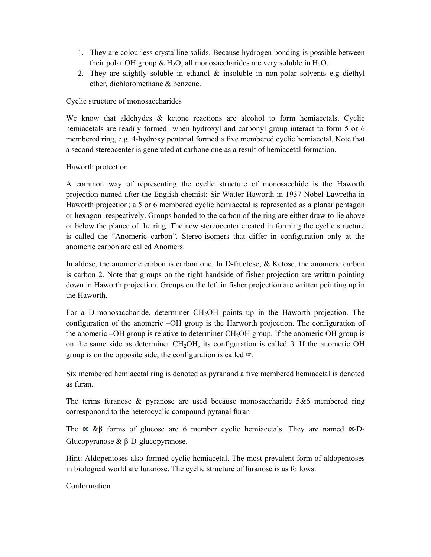- 1. They are colourless crystalline solids. Because hydrogen bonding is possible between their polar OH group  $\&$  H<sub>2</sub>O, all monosaccharides are very soluble in H<sub>2</sub>O.
- 2. They are slightly soluble in ethanol & insoluble in non-polar solvents e.g diethyl ether, dichloromethane & benzene.

## Cyclic structure of monosaccharides

We know that aldehydes & ketone reactions are alcohol to form hemiacetals. Cyclic hemiacetals are readily formed when hydroxyl and carbonyl group interact to form 5 or 6 membered ring, e.g. 4-hydroxy pentanal formed a five membered cyclic hemiacetal. Note that a second stereocenter is generated at carbone one as a result of hemiacetal formation.

## Haworth protection

A common way of representing the cyclic structure of monosacchide is the Haworth projection named after the English chemist: Sir Watter Haworth in 1937 Nobel Lawretha in Haworth projection; a 5 or 6 membered cyclic hemiacetal is represented as a planar pentagon or hexagon respectively. Groups bonded to the carbon of the ring are either draw to lie above or below the plance of the ring. The new stereocenter created in forming the cyclic structure is called the "Anomeric carbon". Stereo-isomers that differ in configuration only at the anomeric carbon are called Anomers.

In aldose, the anomeric carbon is carbon one. In D-fructose,  $\&$  Ketose, the anomeric carbon is carbon 2. Note that groups on the right handside of fisher projection are writtrn pointing down in Haworth projection. Groups on the left in fisher projection are written pointing up in the Haworth.

For a D-monosaccharide, determiner CH<sub>2</sub>OH points up in the Haworth projection. The configuration of the anomeric –OH group is the Harworth projection. The configuration of the anomeric –OH group is relative to determiner CH<sub>2</sub>OH group. If the anomeric OH group is on the same side as determiner CH<sub>2</sub>OH, its configuration is called  $\beta$ . If the anomeric OH group is on the opposite side, the configuration is called  $\infty$ .

Six membered hemiacetal ring is denoted as pyranand a five membered hemiacetal is denoted as furan.

The terms furanose  $\&$  pyranose are used because monosaccharide 5 $\&$ 6 membered ring corresponond to the heterocyclic compound pyranal furan

The  $\propto \&\beta$  forms of glucose are 6 member cyclic hemiacetals. They are named  $\propto$ -D-Glucopyranose & β-D-glucopyranose.

Hint: Aldopentoses also formed cyclic hcmiacetal. The most prevalent form of aldopentoses in biological world are furanose. The cyclic structure of furanose is as follows:

Conformation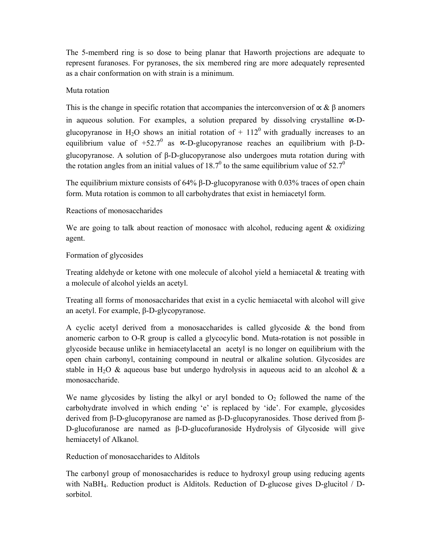The 5-memberd ring is so dose to being planar that Haworth projections are adequate to represent furanoses. For pyranoses, the six membered ring are more adequately represented as a chair conformation on with strain is a minimum.

## Muta rotation

This is the change in specific rotation that accompanies the interconversion of  $\propto \& \beta$  anomers in aqueous solution. For examples, a solution prepared by dissolving crystalline  $\infty$ -Dglucopyranose in H<sub>2</sub>O shows an initial rotation of  $+ 112<sup>0</sup>$  with gradually increases to an equilibrium value of  $+52.7^{\circ}$  as  $\alpha$ -D-glucopyranose reaches an equilibrium with β-Dglucopyranose. A solution of β-D-glucopyranose also undergoes muta rotation during with the rotation angles from an initial values of 18.7<sup>0</sup> to the same equilibrium value of 52.7<sup>0</sup>

The equilibrium mixture consists of 64% β-D-glucopyranose with 0.03% traces of open chain form. Muta rotation is common to all carbohydrates that exist in hemiacetyl form.

## Reactions of monosaccharides

We are going to talk about reaction of monosacc with alcohol, reducing agent  $\&$  oxidizing agent.

## Formation of glycosides

Treating aldehyde or ketone with one molecule of alcohol yield a hemiacetal  $\&$  treating with a molecule of alcohol yields an acetyl.

Treating all forms of monosaccharides that exist in a cyclic hemiacetal with alcohol will give an acetyl. For example, β-D-glycopyranose.

A cyclic acetyl derived from a monosaccharides is called glycoside  $\&$  the bond from anomeric carbon to O-R group is called a glycocylic bond. Muta-rotation is not possible in glycoside because unlike in hemiacetylacetal an acetyl is no longer on equilibrium with the open chain carbonyl, containing compound in neutral or alkaline solution. Glycosides are stable in H<sub>2</sub>O & aqueous base but undergo hydrolysis in aqueous acid to an alcohol & a monosaccharide.

We name glycosides by listing the alkyl or aryl bonded to  $O<sub>2</sub>$  followed the name of the carbohydrate involved in which ending 'e' is replaced by 'ide'. For example, glycosides derived from β-D-glucopyranose are named as β-D-glucopyranosides. Those derived from β-D-glucofuranose are named as β-D-glucofuranoside Hydrolysis of Glycoside will give hemiacetyl of Alkanol.

Reduction of monosaccharides to Alditols

The carbonyl group of monosaccharides is reduce to hydroxyl group using reducing agents with NaBH<sub>4</sub>. Reduction product is Alditols. Reduction of D-glucose gives D-glucitol / Dsorbitol.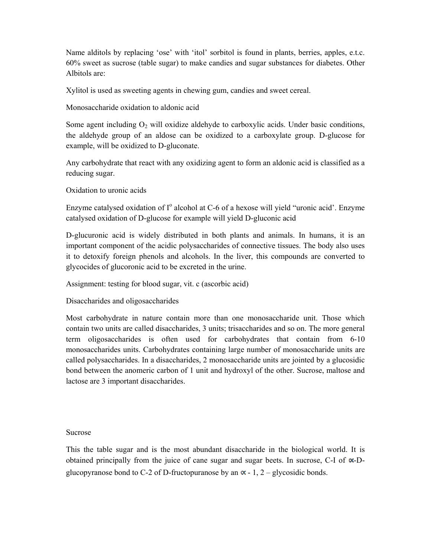Name alditols by replacing 'ose' with 'itol' sorbitol is found in plants, berries, apples, e.t.c. 60% sweet as sucrose (table sugar) to make candies and sugar substances for diabetes. Other Albitols are:

Xylitol is used as sweeting agents in chewing gum, candies and sweet cereal.

Monosaccharide oxidation to aldonic acid

Some agent including  $O_2$  will oxidize aldehyde to carboxylic acids. Under basic conditions, the aldehyde group of an aldose can be oxidized to a carboxylate group. D-glucose for example, will be oxidized to D-gluconate.

Any carbohydrate that react with any oxidizing agent to form an aldonic acid is classified as a reducing sugar.

Oxidation to uronic acids

Enzyme catalysed oxidation of I<sup>o</sup> alcohol at C-6 of a hexose will yield "uronic acid'. Enzyme catalysed oxidation of D-glucose for example will yield D-gluconic acid

D-glucuronic acid is widely distributed in both plants and animals. In humans, it is an important component of the acidic polysaccharides of connective tissues. The body also uses it to detoxify foreign phenols and alcohols. In the liver, this compounds are converted to glycocides of glucoronic acid to be excreted in the urine.

Assignment: testing for blood sugar, vit. c (ascorbic acid)

Disaccharides and oligosaccharides

Most carbohydrate in nature contain more than one monosaccharide unit. Those which contain two units are called disaccharides, 3 units; trisaccharides and so on. The more general term oligosaccharides is often used for carbohydrates that contain from 6-10 monosaccharides units. Carbohydrates containing large number of monosaccharide units are called polysaccharides. In a disaccharides, 2 monosaccharide units are jointed by a glucosidic bond between the anomeric carbon of 1 unit and hydroxyl of the other. Sucrose, maltose and lactose are 3 important disaccharides.

#### Sucrose

This the table sugar and is the most abundant disaccharide in the biological world. It is obtained principally from the juice of cane sugar and sugar beets. In sucrose, C-I of  $\alpha$ -Dglucopyranose bond to C-2 of D-fructopuranose by an  $\alpha$  - 1, 2 – glycosidic bonds.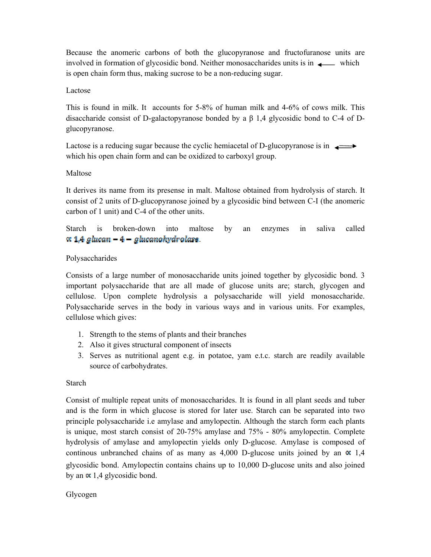Because the anomeric carbons of both the glucopyranose and fructofuranose units are involved in formation of glycosidic bond. Neither monosaccharides units is in  $\longrightarrow$  which is open chain form thus, making sucrose to be a non-reducing sugar.

#### Lactose

This is found in milk. It accounts for 5-8% of human milk and 4-6% of cows milk. This disaccharide consist of D-galactopyranose bonded by a β 1,4 glycosidic bond to C-4 of Dglucopyranose.

Lactose is a reducing sugar because the cyclic hemiacetal of D-glucopyranose is in  $\longrightarrow$ which his open chain form and can be oxidized to carboxyl group.

#### Maltose

It derives its name from its presense in malt. Maltose obtained from hydrolysis of starch. It consist of 2 units of D-glucopyranose joined by a glycosidic bind between C-I (the anomeric carbon of 1 unit) and C-4 of the other units.

Starch is broken-down into maltose by an enzymes in saliva called  $\propto$  1.4 glucan – 4 – glucanohydrolase

#### Polysaccharides

Consists of a large number of monosaccharide units joined together by glycosidic bond. 3 important polysaccharide that are all made of glucose units are; starch, glycogen and cellulose. Upon complete hydrolysis a polysaccharide will yield monosaccharide. Polysaccharide serves in the body in various ways and in various units. For examples, cellulose which gives:

- 1. Strength to the stems of plants and their branches
- 2. Also it gives structural component of insects
- 3. Serves as nutritional agent e.g. in potatoe, yam e.t.c. starch are readily available source of carbohydrates.

#### Starch

Consist of multiple repeat units of monosaccharides. It is found in all plant seeds and tuber and is the form in which glucose is stored for later use. Starch can be separated into two principle polysaccharide i.e amylase and amylopectin. Although the starch form each plants is unique, most starch consist of 20-75% amylase and 75% - 80% amylopectin. Complete hydrolysis of amylase and amylopectin yields only D-glucose. Amylase is composed of continous unbranched chains of as many as 4,000 D-glucose units joined by an  $\alpha$  1,4 glycosidic bond. Amylopectin contains chains up to 10,000 D-glucose units and also joined by an  $\alpha$  1,4 glycosidic bond.

#### Glycogen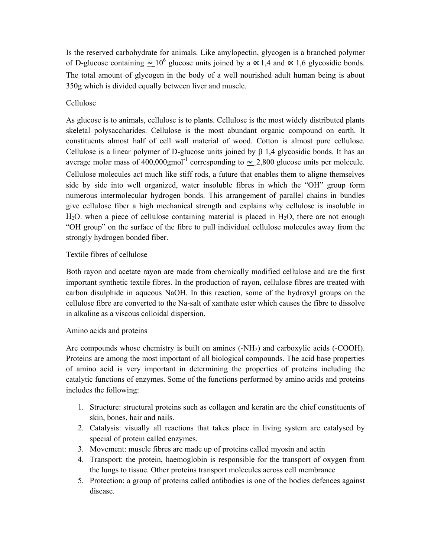Is the reserved carbohydrate for animals. Like amylopectin, glycogen is a branched polymer of D-glucose containing  $\sim 10^6$  glucose units joined by a  $\propto 1.4$  and  $\propto 1.6$  glycosidic bonds. The total amount of glycogen in the body of a well nourished adult human being is about 350g which is divided equally between liver and muscle.

## Cellulose

As glucose is to animals, cellulose is to plants. Cellulose is the most widely distributed plants skeletal polysaccharides. Cellulose is the most abundant organic compound on earth. It constituents almost half of cell wall material of wood. Cotton is almost pure cellulose. Cellulose is a linear polymer of D-glucose units joined by β 1,4 glycosidic bonds. It has an average molar mass of 400,000gmol<sup>-1</sup> corresponding to  $\sim$  2,800 glucose units per molecule. Cellulose molecules act much like stiff rods, a future that enables them to aligne themselves side by side into well organized, water insoluble fibres in which the "OH" group form numerous intermolecular hydrogen bonds. This arrangement of parallel chains in bundles give cellulose fiber a high mechanical strength and explains why cellulose is insoluble in  $H<sub>2</sub>O$ . when a piece of cellulose containing material is placed in  $H<sub>2</sub>O$ , there are not enough "OH group" on the surface of the fibre to pull individual cellulose molecules away from the strongly hydrogen bonded fiber.

## Textile fibres of cellulose

Both rayon and acetate rayon are made from chemically modified cellulose and are the first important synthetic textile fibres. In the production of rayon, cellulose fibres are treated with carbon disulphide in aqueous NaOH. In this reaction, some of the hydroxyl groups on the cellulose fibre are converted to the Na-salt of xanthate ester which causes the fibre to dissolve in alkaline as a viscous colloidal dispersion.

#### Amino acids and proteins

Are compounds whose chemistry is built on amines  $(-NH<sub>2</sub>)$  and carboxylic acids  $(-COOH)$ . Proteins are among the most important of all biological compounds. The acid base properties of amino acid is very important in determining the properties of proteins including the catalytic functions of enzymes. Some of the functions performed by amino acids and proteins includes the following:

- 1. Structure: structural proteins such as collagen and keratin are the chief constituents of skin, bones, hair and nails.
- 2. Catalysis: visually all reactions that takes place in living system are catalysed by special of protein called enzymes.
- 3. Movement: muscle fibres are made up of proteins called myosin and actin
- 4. Transport: the protein, haemoglobin is responsible for the transport of oxygen from the lungs to tissue. Other proteins transport molecules across cell membrance
- 5. Protection: a group of proteins called antibodies is one of the bodies defences against disease.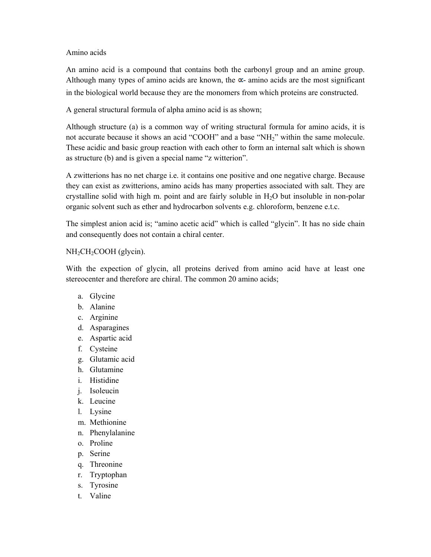Amino acids

An amino acid is a compound that contains both the carbonyl group and an amine group. Although many types of amino acids are known, the  $\alpha$ - amino acids are the most significant in the biological world because they are the monomers from which proteins are constructed.

A general structural formula of alpha amino acid is as shown;

Although structure (a) is a common way of writing structural formula for amino acids, it is not accurate because it shows an acid "COOH" and a base "NH<sub>2</sub>" within the same molecule. These acidic and basic group reaction with each other to form an internal salt which is shown as structure (b) and is given a special name "z witterion".

A zwitterions has no net charge i.e. it contains one positive and one negative charge. Because they can exist as zwitterions, amino acids has many properties associated with salt. They are crystalline solid with high m. point and are fairly soluble in  $H<sub>2</sub>O$  but insoluble in non-polar organic solvent such as ether and hydrocarbon solvents e.g. chloroform, benzene e.t.c.

The simplest anion acid is; "amino acetic acid" which is called "glycin". It has no side chain and consequently does not contain a chiral center.

## $NH<sub>2</sub>CH<sub>2</sub>COOH$  (glycin).

With the expection of glycin, all proteins derived from amino acid have at least one stereocenter and therefore are chiral. The common 20 amino acids;

- a. Glycine
- b. Alanine
- c. Arginine
- d. Asparagines
- e. Aspartic acid
- f. Cysteine
- g. Glutamic acid
- h. Glutamine
- i. Histidine
- j. Isoleucin
- k. Leucine
- l. Lysine
- m. Methionine
- n. Phenylalanine
- o. Proline
- p. Serine
- q. Threonine
- r. Tryptophan
- s. Tyrosine
- t. Valine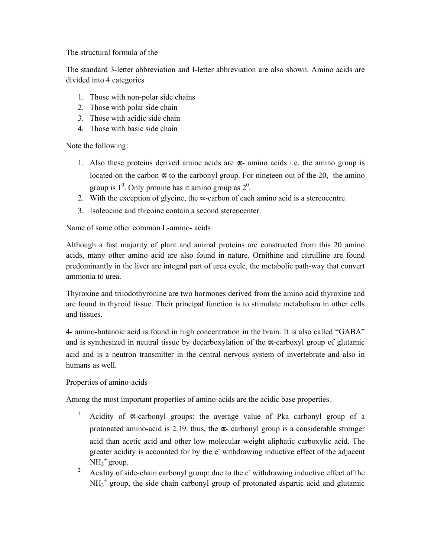The structural formula of the

The standard 3-letter abbreviation and I-letter abbreviation are also shown. Amino acids are divided into 4 categories

- 1. Those with non-polar side chains
- 2. Those with polar side chain
- 3. Those with acidic side chain
- 4. Those with basic side chain

Note the following:

- 1. Also these proteins derived amine acids are  $\alpha$  amino acids i.e. the amino group is located on the carbon  $\alpha$  to the carbonyl group. For nineteen out of the 20, the amino group is  $1^0$ . Only pronine has it amino group as  $2^0$ .
- 2. With the exception of glycine, the  $\infty$ -carbon of each amino acid is a stereocentre.
- 3. Isoleucine and threoine contain a second stereocenter.

Name of some other common L-amino- acids

Although a fast majority of plant and animal proteins are constructed from this 20 amino acids, many other amino acid are also found in nature. Ornithine and citrulline are found predominantly in the liver are integral part of urea cycle, the metabolic path-way that convert ammonia to urea.

Thyroxine and triiodothyronine are two hormones derived from the amino acid thyroxine and are found in thyroid tissue. Their principal function is to stimulate metabolism in other cells and tissues.

4- amino-butanoic acid is found in high concentration in the brain. It is also called "GABA" and is synthesized in neutral tissue by decarboxylation of the  $\alpha$ -carboxyl group of glutamic acid and is a neutron transmitter in the central nervous system of invertebrate and also in humans as well.

Properties of amino-acids

Among the most important properties of amino-acids are the acidic base properties.

- Acidity of  $\alpha$ -carbonyl groups: the average value of Pka carbonyl group of a protonated amino-acid is 2.19. thus, the  $\alpha$ - carbonyl group is a considerable stronger acid than acetic acid and other low molecular weight aliphatic carboxylic acid. The greater acidity is accounted for by the e withdrawing inductive effect of the adjacent  $NH_3^+$  group.
- <sup>2.</sup> Acidity of side-chain carbonyl group: due to the  $e^r$  withdrawing inductive effect of the NH<sub>3</sub><sup>+</sup> group, the side chain carbonyl group of protonated aspartic acid and glutamic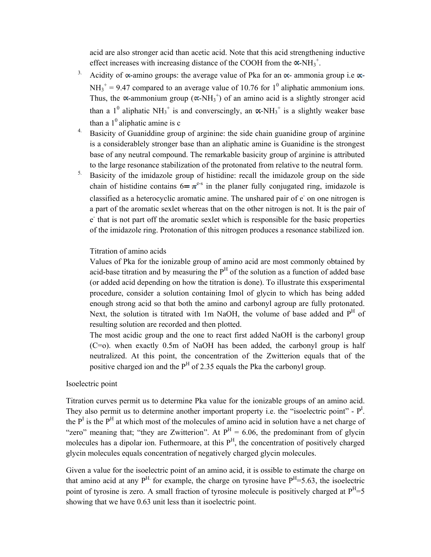acid are also stronger acid than acetic acid. Note that this acid strengthening inductive effect increases with increasing distance of the COOH from the  $\alpha$ -NH<sub>3</sub><sup>+</sup>.

- <sup>3.</sup> Acidity of  $\alpha$ -amino groups: the average value of Pka for an  $\alpha$ -ammonia group i.e  $\alpha$ - $NH_3^+$  = 9.47 compared to an average value of 10.76 for 1<sup>0</sup> aliphatic ammonium ions. Thus, the  $\alpha$ -ammonium group ( $\alpha$ -NH<sub>3</sub><sup>+</sup>) of an amino acid is a slightly stronger acid than a 1<sup>0</sup> aliphatic NH<sub>3</sub><sup>+</sup> is and converscingly, an  $\alpha$ -NH<sub>3</sub><sup>+</sup> is a slightly weaker base than a  $1^0$  aliphatic amine is c
- <sup>4.</sup> Basicity of Guaniddine group of arginine: the side chain guanidine group of arginine is a considerablely stronger base than an aliphatic amine is Guanidine is the strongest base of any neutral compound. The remarkable basicity group of arginine is attributed to the large resonance stabilization of the protonated from relative to the neutral form.
- <sup>5.</sup> Basicity of the imidazole group of histidine: recall the imidazole group on the side chain of histidine contains  $6 = \pi^{e-s}$  in the planer fully conjugated ring, imidazole is classified as a heterocyclic aromatic amine. The unshared pair of e on one nitrogen is a part of the aromatic sexlet whereas that on the other nitrogen is not. It is the pair of e - that is not part off the aromatic sexlet which is responsible for the basic properties of the imidazole ring. Protonation of this nitrogen produces a resonance stabilized ion.

#### Titration of amino acids

Values of Pka for the ionizable group of amino acid are most commonly obtained by acid-base titration and by measuring the  $P<sup>H</sup>$  of the solution as a function of added base (or added acid depending on how the titration is done). To illustrate this exsperimental procedure, consider a solution containing Imol of glycin to which has being added enough strong acid so that both the amino and carbonyl agroup are fully protonated. Next, the solution is titrated with 1m NaOH, the volume of base added and P<sup>H</sup> of resulting solution are recorded and then plotted.

The most acidic group and the one to react first added NaOH is the carbonyl group (C=o). when exactly 0.5m of NaOH has been added, the carbonyl group is half neutralized. At this point, the concentration of the Zwitterion equals that of the positive charged ion and the  $P<sup>H</sup>$  of 2.35 equals the Pka the carbonyl group.

## Isoelectric point

Titration curves permit us to determine Pka value for the ionizable groups of an amino acid. They also permit us to determine another important property i.e. the "isoelectric point" -  $P<sup>I</sup>$ . the  $P<sup>I</sup>$  is the  $P<sup>H</sup>$  at which most of the molecules of amino acid in solution have a net charge of "zero" meaning that; "they are Zwitterion". At  $P<sup>H</sup> = 6.06$ , the predominant from of glycin molecules has a dipolar ion. Futhermoare, at this  $P<sup>H</sup>$ , the concentration of positively charged glycin molecules equals concentration of negatively charged glycin molecules.

Given a value for the isoelectric point of an amino acid, it is ossible to estimate the charge on that amino acid at any  $P^{H}$  for example, the charge on tyrosine have  $P^{H}=5.63$ , the isoelectric point of tyrosine is zero. A small fraction of tyrosine molecule is positively charged at  $P<sup>H</sup>=5$ showing that we have 0.63 unit less than it isoelectric point.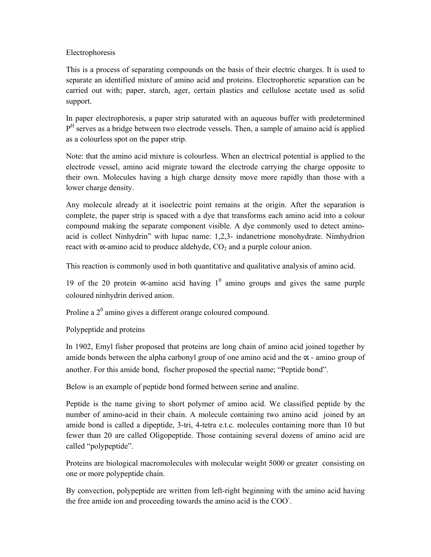## Electrophoresis

This is a process of separating compounds on the basis of their electric charges. It is used to separate an identified mixture of amino acid and proteins. Electrophoretic separation can be carried out with; paper, starch, ager, certain plastics and cellulose acetate used as solid support.

In paper electrophoresis, a paper strip saturated with an aqueous buffer with predetermined  $P<sup>H</sup>$  serves as a bridge between two electrode vessels. Then, a sample of amaino acid is applied as a colourless spot on the paper strip.

Note: that the amino acid mixture is colourless. When an electrical potential is applied to the electrode vessel, amino acid migrate toward the electrode carrying the charge opposite to their own. Molecules having a high charge density move more rapidly than those with a lower charge density.

Any molecule already at it isoelectric point remains at the origin. After the separation is complete, the paper strip is spaced with a dye that transforms each amino acid into a colour compound making the separate component visible. A dye commonly used to detect aminoacid is collect Ninhydrin" with lupac name: 1,2,3- indanetrione monohydrate. Nimhydrion react with  $\infty$ -amino acid to produce aldehyde,  $CO<sub>2</sub>$  and a purple colour anion.

This reaction is commonly used in both quantitative and qualitative analysis of amino acid.

19 of the 20 protein  $\alpha$ -amino acid having  $1^0$  amino groups and gives the same purple coloured ninhydrin derived anion.

Proline a  $2^0$  amino gives a different orange coloured compound.

Polypeptide and proteins

In 1902, Emyl fisher proposed that proteins are long chain of amino acid joined together by amide bonds between the alpha carbonyl group of one amino acid and the  $\alpha$  - amino group of another. For this amide bond, fischer proposed the spectial name; "Peptide bond".

Below is an example of peptide bond formed between serine and analine.

Peptide is the name giving to short polymer of amino acid. We classified peptide by the number of amino-acid in their chain. A molecule containing two amino acid joined by an amide bond is called a dipeptide, 3-tri, 4-tetra e.t.c. molecules containing more than 10 but fewer than 20 are called Oligopeptide. Those containing several dozens of amino acid are called "polypeptide".

Proteins are biological macromolecules with molecular weight 5000 or greater consisting on one or more polypeptide chain.

By convection, polypeptide are written from left-right beginning with the amino acid having the free amide ion and proceeding towards the amino acid is the COO- .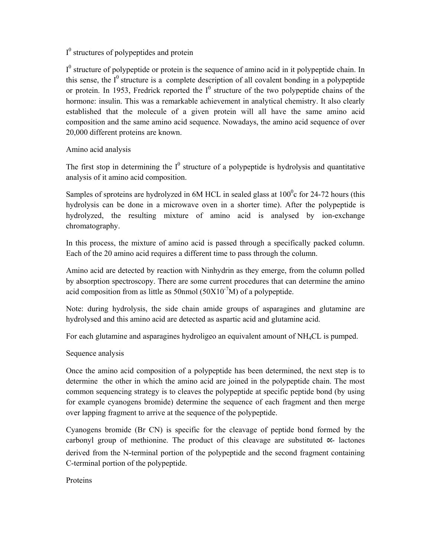## $I^0$  structures of polypeptides and protein

 $I^0$  structure of polypeptide or protein is the sequence of amino acid in it polypeptide chain. In this sense, the  $I^0$  structure is a complete description of all covalent bonding in a polypeptide or protein. In 1953, Fredrick reported the  $I^0$  structure of the two polypeptide chains of the hormone: insulin. This was a remarkable achievement in analytical chemistry. It also clearly established that the molecule of a given protein will all have the same amino acid composition and the same amino acid sequence. Nowadays, the amino acid sequence of over 20,000 different proteins are known.

## Amino acid analysis

The first stop in determining the  $I^0$  structure of a polypeptide is hydrolysis and quantitative analysis of it amino acid composition.

Samples of sproteins are hydrolyzed in 6M HCL in sealed glass at  $100^{\circ}$ c for 24-72 hours (this hydrolysis can be done in a microwave oven in a shorter time). After the polypeptide is hydrolyzed, the resulting mixture of amino acid is analysed by ion-exchange chromatography.

In this process, the mixture of amino acid is passed through a specifically packed column. Each of the 20 amino acid requires a different time to pass through the column.

Amino acid are detected by reaction with Ninhydrin as they emerge, from the column polled by absorption spectroscopy. There are some current procedures that can determine the amino acid composition from as little as 50nmol ( $50X10<sup>-7</sup>M$ ) of a polypeptide.

Note: during hydrolysis, the side chain amide groups of asparagines and glutamine are hydrolysed and this amino acid are detected as aspartic acid and glutamine acid.

For each glutamine and asparagines hydroligeo an equivalent amount of NH4CL is pumped.

## Sequence analysis

Once the amino acid composition of a polypeptide has been determined, the next step is to determine the other in which the amino acid are joined in the polypeptide chain. The most common sequencing strategy is to cleaves the polypeptide at specific peptide bond (by using for example cyanogens bromide) determine the sequence of each fragment and then merge over lapping fragment to arrive at the sequence of the polypeptide.

Cyanogens bromide (Br CN) is specific for the cleavage of peptide bond formed by the carbonyl group of methionine. The product of this cleavage are substituted  $\alpha$ - lactones derived from the N-terminal portion of the polypeptide and the second fragment containing C-terminal portion of the polypeptide.

Proteins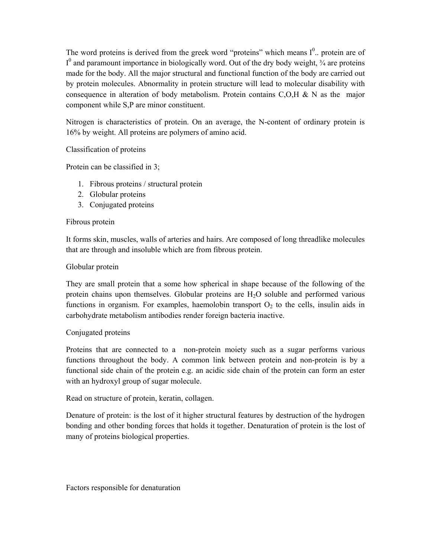The word proteins is derived from the greek word "proteins" which means  $I^0$ . protein are of  $I^0$  and paramount importance in biologically word. Out of the dry body weight,  $\frac{3}{4}$  are proteins made for the body. All the major structural and functional function of the body are carried out by protein molecules. Abnormality in protein structure will lead to molecular disability with consequence in alteration of body metabolism. Protein contains  $C, O, H, \& N$  as the major component while S,P are minor constituent.

Nitrogen is characteristics of protein. On an average, the N-content of ordinary protein is 16% by weight. All proteins are polymers of amino acid.

Classification of proteins

Protein can be classified in 3;

- 1. Fibrous proteins / structural protein
- 2. Globular proteins
- 3. Conjugated proteins

#### Fibrous protein

It forms skin, muscles, walls of arteries and hairs. Are composed of long threadlike molecules that are through and insoluble which are from fibrous protein.

#### Globular protein

They are small protein that a some how spherical in shape because of the following of the protein chains upon themselves. Globular proteins are  $H_2O$  soluble and performed various functions in organism. For examples, haemolobin transport  $O<sub>2</sub>$  to the cells, insulin aids in carbohydrate metabolism antibodies render foreign bacteria inactive.

#### Conjugated proteins

Proteins that are connected to a non-protein moiety such as a sugar performs various functions throughout the body. A common link between protein and non-protein is by a functional side chain of the protein e.g. an acidic side chain of the protein can form an ester with an hydroxyl group of sugar molecule.

Read on structure of protein, keratin, collagen.

Denature of protein: is the lost of it higher structural features by destruction of the hydrogen bonding and other bonding forces that holds it together. Denaturation of protein is the lost of many of proteins biological properties.

Factors responsible for denaturation